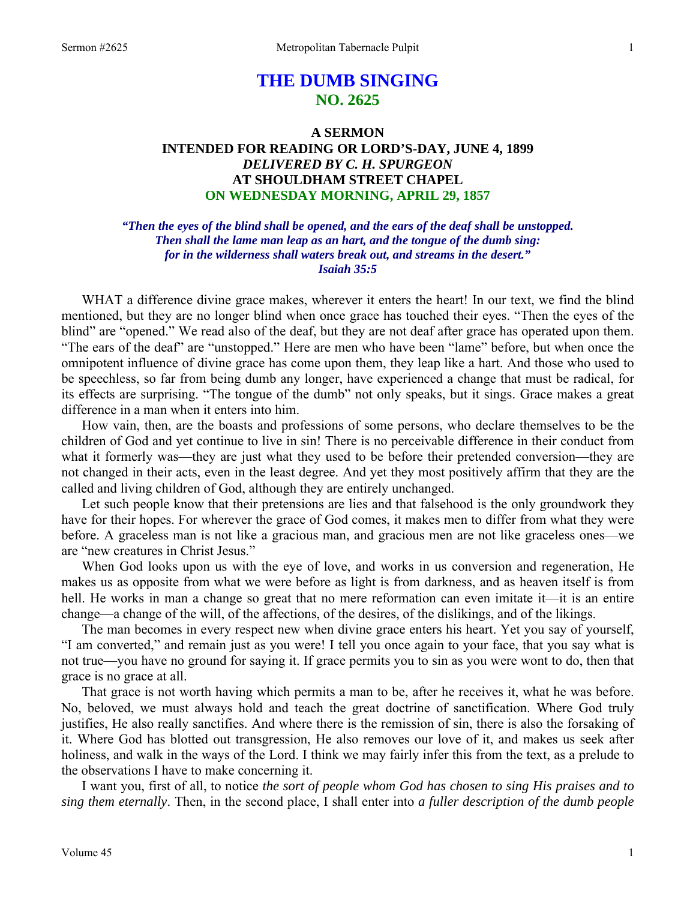# **THE DUMB SINGING NO. 2625**

# **A SERMON INTENDED FOR READING OR LORD'S-DAY, JUNE 4, 1899**  *DELIVERED BY C. H. SPURGEON*  **AT SHOULDHAM STREET CHAPEL ON WEDNESDAY MORNING, APRIL 29, 1857**

# *"Then the eyes of the blind shall be opened, and the ears of the deaf shall be unstopped. Then shall the lame man leap as an hart, and the tongue of the dumb sing: for in the wilderness shall waters break out, and streams in the desert." Isaiah 35:5*

WHAT a difference divine grace makes, wherever it enters the heart! In our text, we find the blind mentioned, but they are no longer blind when once grace has touched their eyes. "Then the eyes of the blind" are "opened." We read also of the deaf, but they are not deaf after grace has operated upon them. "The ears of the deaf" are "unstopped." Here are men who have been "lame" before, but when once the omnipotent influence of divine grace has come upon them, they leap like a hart. And those who used to be speechless, so far from being dumb any longer, have experienced a change that must be radical, for its effects are surprising. "The tongue of the dumb" not only speaks, but it sings. Grace makes a great difference in a man when it enters into him.

 How vain, then, are the boasts and professions of some persons, who declare themselves to be the children of God and yet continue to live in sin! There is no perceivable difference in their conduct from what it formerly was—they are just what they used to be before their pretended conversion—they are not changed in their acts, even in the least degree. And yet they most positively affirm that they are the called and living children of God, although they are entirely unchanged.

 Let such people know that their pretensions are lies and that falsehood is the only groundwork they have for their hopes. For wherever the grace of God comes, it makes men to differ from what they were before. A graceless man is not like a gracious man, and gracious men are not like graceless ones—we are "new creatures in Christ Jesus."

 When God looks upon us with the eye of love, and works in us conversion and regeneration, He makes us as opposite from what we were before as light is from darkness, and as heaven itself is from hell. He works in man a change so great that no mere reformation can even imitate it—it is an entire change—a change of the will, of the affections, of the desires, of the dislikings, and of the likings.

 The man becomes in every respect new when divine grace enters his heart. Yet you say of yourself, "I am converted," and remain just as you were! I tell you once again to your face, that you say what is not true—you have no ground for saying it. If grace permits you to sin as you were wont to do, then that grace is no grace at all.

 That grace is not worth having which permits a man to be, after he receives it, what he was before. No, beloved, we must always hold and teach the great doctrine of sanctification. Where God truly justifies, He also really sanctifies. And where there is the remission of sin, there is also the forsaking of it. Where God has blotted out transgression, He also removes our love of it, and makes us seek after holiness, and walk in the ways of the Lord. I think we may fairly infer this from the text, as a prelude to the observations I have to make concerning it.

 I want you, first of all, to notice *the sort of people whom God has chosen to sing His praises and to sing them eternally*. Then, in the second place, I shall enter into *a fuller description of the dumb people*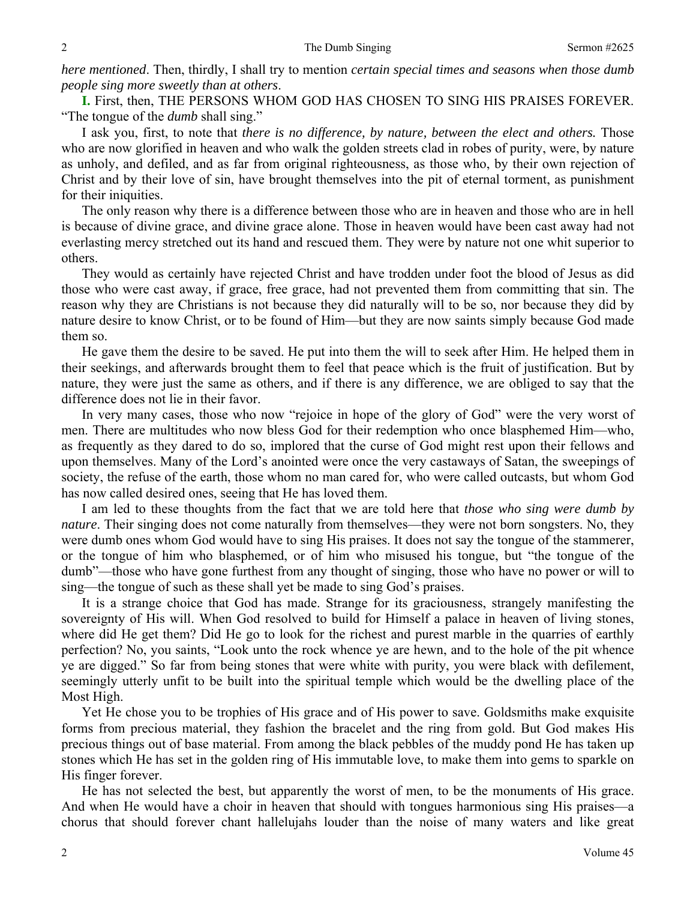*here mentioned*. Then, thirdly, I shall try to mention *certain special times and seasons when those dumb people sing more sweetly than at others*.

**I.** First, then, THE PERSONS WHOM GOD HAS CHOSEN TO SING HIS PRAISES FOREVER. "The tongue of the *dumb* shall sing."

 I ask you, first, to note that *there is no difference, by nature, between the elect and others.* Those who are now glorified in heaven and who walk the golden streets clad in robes of purity, were, by nature as unholy, and defiled, and as far from original righteousness, as those who, by their own rejection of Christ and by their love of sin, have brought themselves into the pit of eternal torment, as punishment for their iniquities.

 The only reason why there is a difference between those who are in heaven and those who are in hell is because of divine grace, and divine grace alone. Those in heaven would have been cast away had not everlasting mercy stretched out its hand and rescued them. They were by nature not one whit superior to others.

 They would as certainly have rejected Christ and have trodden under foot the blood of Jesus as did those who were cast away, if grace, free grace, had not prevented them from committing that sin. The reason why they are Christians is not because they did naturally will to be so, nor because they did by nature desire to know Christ, or to be found of Him—but they are now saints simply because God made them so.

 He gave them the desire to be saved. He put into them the will to seek after Him. He helped them in their seekings, and afterwards brought them to feel that peace which is the fruit of justification. But by nature, they were just the same as others, and if there is any difference, we are obliged to say that the difference does not lie in their favor.

 In very many cases, those who now "rejoice in hope of the glory of God" were the very worst of men. There are multitudes who now bless God for their redemption who once blasphemed Him—who, as frequently as they dared to do so, implored that the curse of God might rest upon their fellows and upon themselves. Many of the Lord's anointed were once the very castaways of Satan, the sweepings of society, the refuse of the earth, those whom no man cared for, who were called outcasts, but whom God has now called desired ones, seeing that He has loved them.

 I am led to these thoughts from the fact that we are told here that *those who sing were dumb by nature*. Their singing does not come naturally from themselves—they were not born songsters. No, they were dumb ones whom God would have to sing His praises. It does not say the tongue of the stammerer, or the tongue of him who blasphemed, or of him who misused his tongue, but "the tongue of the dumb"—those who have gone furthest from any thought of singing, those who have no power or will to sing—the tongue of such as these shall yet be made to sing God's praises.

 It is a strange choice that God has made. Strange for its graciousness, strangely manifesting the sovereignty of His will. When God resolved to build for Himself a palace in heaven of living stones, where did He get them? Did He go to look for the richest and purest marble in the quarries of earthly perfection? No, you saints, "Look unto the rock whence ye are hewn, and to the hole of the pit whence ye are digged." So far from being stones that were white with purity, you were black with defilement, seemingly utterly unfit to be built into the spiritual temple which would be the dwelling place of the Most High.

 Yet He chose you to be trophies of His grace and of His power to save. Goldsmiths make exquisite forms from precious material, they fashion the bracelet and the ring from gold. But God makes His precious things out of base material. From among the black pebbles of the muddy pond He has taken up stones which He has set in the golden ring of His immutable love, to make them into gems to sparkle on His finger forever.

 He has not selected the best, but apparently the worst of men, to be the monuments of His grace. And when He would have a choir in heaven that should with tongues harmonious sing His praises—a chorus that should forever chant hallelujahs louder than the noise of many waters and like great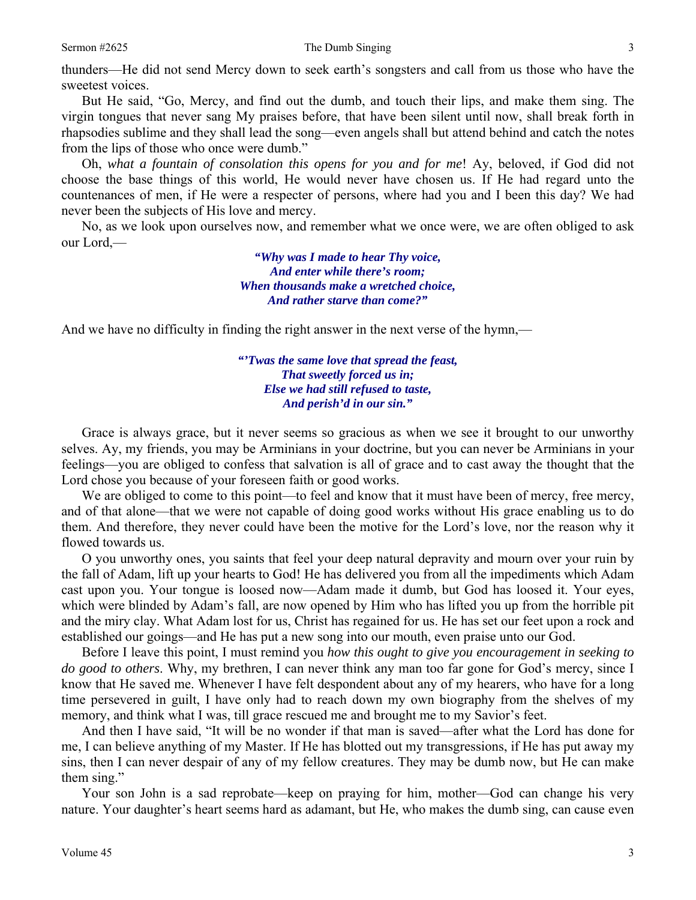thunders—He did not send Mercy down to seek earth's songsters and call from us those who have the sweetest voices.

 But He said, "Go, Mercy, and find out the dumb, and touch their lips, and make them sing. The virgin tongues that never sang My praises before, that have been silent until now, shall break forth in rhapsodies sublime and they shall lead the song—even angels shall but attend behind and catch the notes from the lips of those who once were dumb."

 Oh, *what a fountain of consolation this opens for you and for me*! Ay, beloved, if God did not choose the base things of this world, He would never have chosen us. If He had regard unto the countenances of men, if He were a respecter of persons, where had you and I been this day? We had never been the subjects of His love and mercy.

 No, as we look upon ourselves now, and remember what we once were, we are often obliged to ask our Lord,—

> *"Why was I made to hear Thy voice, And enter while there's room; When thousands make a wretched choice, And rather starve than come?"*

And we have no difficulty in finding the right answer in the next verse of the hymn,—

*"'Twas the same love that spread the feast, That sweetly forced us in; Else we had still refused to taste, And perish'd in our sin."* 

 Grace is always grace, but it never seems so gracious as when we see it brought to our unworthy selves. Ay, my friends, you may be Arminians in your doctrine, but you can never be Arminians in your feelings—you are obliged to confess that salvation is all of grace and to cast away the thought that the Lord chose you because of your foreseen faith or good works.

We are obliged to come to this point—to feel and know that it must have been of mercy, free mercy, and of that alone—that we were not capable of doing good works without His grace enabling us to do them. And therefore, they never could have been the motive for the Lord's love, nor the reason why it flowed towards us.

 O you unworthy ones, you saints that feel your deep natural depravity and mourn over your ruin by the fall of Adam, lift up your hearts to God! He has delivered you from all the impediments which Adam cast upon you. Your tongue is loosed now—Adam made it dumb, but God has loosed it. Your eyes, which were blinded by Adam's fall, are now opened by Him who has lifted you up from the horrible pit and the miry clay. What Adam lost for us, Christ has regained for us. He has set our feet upon a rock and established our goings—and He has put a new song into our mouth, even praise unto our God.

 Before I leave this point, I must remind you *how this ought to give you encouragement in seeking to do good to others*. Why, my brethren, I can never think any man too far gone for God's mercy, since I know that He saved me. Whenever I have felt despondent about any of my hearers, who have for a long time persevered in guilt, I have only had to reach down my own biography from the shelves of my memory, and think what I was, till grace rescued me and brought me to my Savior's feet.

 And then I have said, "It will be no wonder if that man is saved—after what the Lord has done for me, I can believe anything of my Master. If He has blotted out my transgressions, if He has put away my sins, then I can never despair of any of my fellow creatures. They may be dumb now, but He can make them sing."

 Your son John is a sad reprobate—keep on praying for him, mother—God can change his very nature. Your daughter's heart seems hard as adamant, but He, who makes the dumb sing, can cause even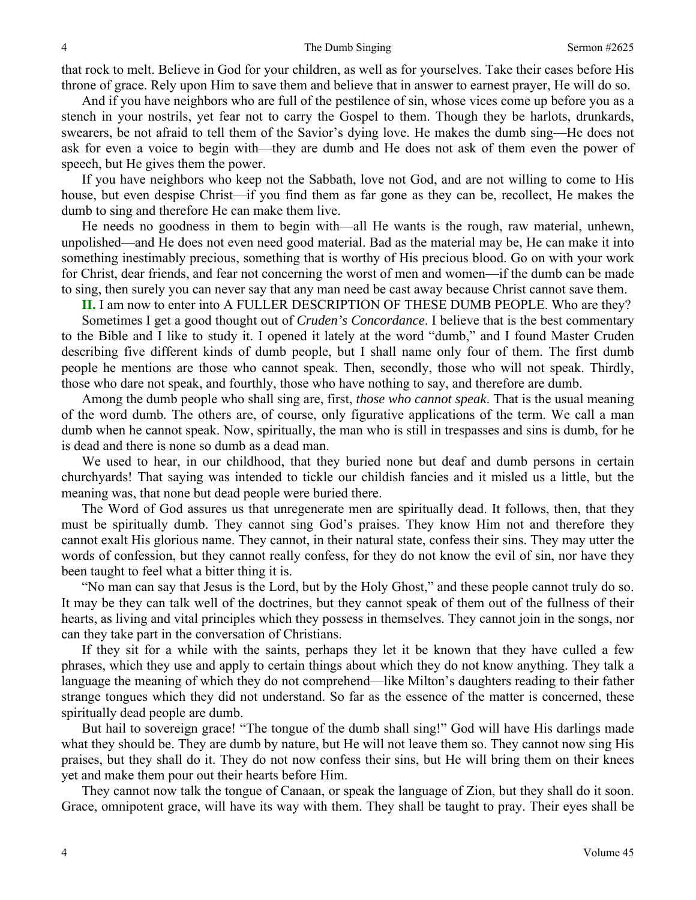that rock to melt. Believe in God for your children, as well as for yourselves. Take their cases before His throne of grace. Rely upon Him to save them and believe that in answer to earnest prayer, He will do so.

 And if you have neighbors who are full of the pestilence of sin, whose vices come up before you as a stench in your nostrils, yet fear not to carry the Gospel to them. Though they be harlots, drunkards, swearers, be not afraid to tell them of the Savior's dying love. He makes the dumb sing—He does not ask for even a voice to begin with—they are dumb and He does not ask of them even the power of speech, but He gives them the power.

 If you have neighbors who keep not the Sabbath, love not God, and are not willing to come to His house, but even despise Christ—if you find them as far gone as they can be, recollect, He makes the dumb to sing and therefore He can make them live.

 He needs no goodness in them to begin with—all He wants is the rough, raw material, unhewn, unpolished—and He does not even need good material. Bad as the material may be, He can make it into something inestimably precious, something that is worthy of His precious blood. Go on with your work for Christ, dear friends, and fear not concerning the worst of men and women—if the dumb can be made to sing, then surely you can never say that any man need be cast away because Christ cannot save them.

**II.** I am now to enter into A FULLER DESCRIPTION OF THESE DUMB PEOPLE. Who are they?

 Sometimes I get a good thought out of *Cruden's Concordance*. I believe that is the best commentary to the Bible and I like to study it. I opened it lately at the word "dumb," and I found Master Cruden describing five different kinds of dumb people, but I shall name only four of them. The first dumb people he mentions are those who cannot speak. Then, secondly, those who will not speak. Thirdly, those who dare not speak, and fourthly, those who have nothing to say, and therefore are dumb.

 Among the dumb people who shall sing are, first, *those who cannot speak*. That is the usual meaning of the word dumb*.* The others are, of course, only figurative applications of the term. We call a man dumb when he cannot speak. Now, spiritually, the man who is still in trespasses and sins is dumb, for he is dead and there is none so dumb as a dead man.

 We used to hear, in our childhood, that they buried none but deaf and dumb persons in certain churchyards! That saying was intended to tickle our childish fancies and it misled us a little, but the meaning was, that none but dead people were buried there.

 The Word of God assures us that unregenerate men are spiritually dead. It follows, then, that they must be spiritually dumb. They cannot sing God's praises. They know Him not and therefore they cannot exalt His glorious name. They cannot, in their natural state, confess their sins. They may utter the words of confession, but they cannot really confess, for they do not know the evil of sin, nor have they been taught to feel what a bitter thing it is.

 "No man can say that Jesus is the Lord, but by the Holy Ghost," and these people cannot truly do so. It may be they can talk well of the doctrines, but they cannot speak of them out of the fullness of their hearts, as living and vital principles which they possess in themselves. They cannot join in the songs, nor can they take part in the conversation of Christians.

 If they sit for a while with the saints, perhaps they let it be known that they have culled a few phrases, which they use and apply to certain things about which they do not know anything. They talk a language the meaning of which they do not comprehend—like Milton's daughters reading to their father strange tongues which they did not understand. So far as the essence of the matter is concerned, these spiritually dead people are dumb.

 But hail to sovereign grace! "The tongue of the dumb shall sing!" God will have His darlings made what they should be. They are dumb by nature, but He will not leave them so. They cannot now sing His praises, but they shall do it. They do not now confess their sins, but He will bring them on their knees yet and make them pour out their hearts before Him.

 They cannot now talk the tongue of Canaan, or speak the language of Zion, but they shall do it soon. Grace, omnipotent grace, will have its way with them. They shall be taught to pray. Their eyes shall be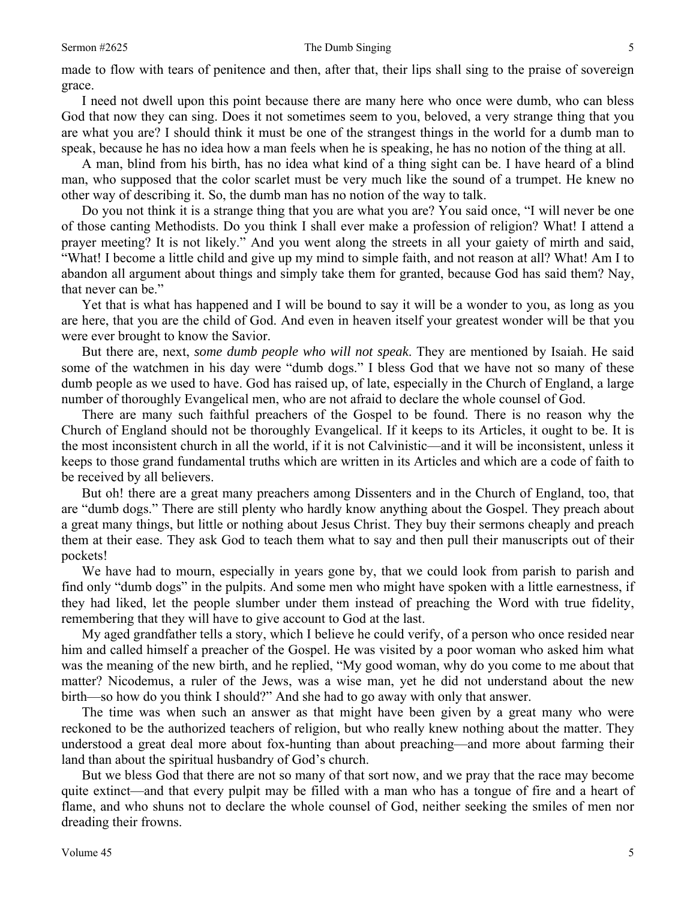made to flow with tears of penitence and then, after that, their lips shall sing to the praise of sovereign grace.

 I need not dwell upon this point because there are many here who once were dumb, who can bless God that now they can sing. Does it not sometimes seem to you, beloved, a very strange thing that you are what you are? I should think it must be one of the strangest things in the world for a dumb man to speak, because he has no idea how a man feels when he is speaking, he has no notion of the thing at all.

 A man, blind from his birth, has no idea what kind of a thing sight can be. I have heard of a blind man, who supposed that the color scarlet must be very much like the sound of a trumpet. He knew no other way of describing it. So, the dumb man has no notion of the way to talk.

 Do you not think it is a strange thing that you are what you are? You said once, "I will never be one of those canting Methodists. Do you think I shall ever make a profession of religion? What! I attend a prayer meeting? It is not likely." And you went along the streets in all your gaiety of mirth and said, "What! I become a little child and give up my mind to simple faith, and not reason at all? What! Am I to abandon all argument about things and simply take them for granted, because God has said them? Nay, that never can be."

 Yet that is what has happened and I will be bound to say it will be a wonder to you, as long as you are here, that you are the child of God. And even in heaven itself your greatest wonder will be that you were ever brought to know the Savior.

 But there are, next, *some dumb people who will not speak*. They are mentioned by Isaiah. He said some of the watchmen in his day were "dumb dogs." I bless God that we have not so many of these dumb people as we used to have. God has raised up, of late, especially in the Church of England, a large number of thoroughly Evangelical men, who are not afraid to declare the whole counsel of God.

 There are many such faithful preachers of the Gospel to be found. There is no reason why the Church of England should not be thoroughly Evangelical. If it keeps to its Articles, it ought to be. It is the most inconsistent church in all the world, if it is not Calvinistic—and it will be inconsistent, unless it keeps to those grand fundamental truths which are written in its Articles and which are a code of faith to be received by all believers.

 But oh! there are a great many preachers among Dissenters and in the Church of England, too, that are "dumb dogs." There are still plenty who hardly know anything about the Gospel. They preach about a great many things, but little or nothing about Jesus Christ. They buy their sermons cheaply and preach them at their ease. They ask God to teach them what to say and then pull their manuscripts out of their pockets!

 We have had to mourn, especially in years gone by, that we could look from parish to parish and find only "dumb dogs" in the pulpits. And some men who might have spoken with a little earnestness, if they had liked, let the people slumber under them instead of preaching the Word with true fidelity, remembering that they will have to give account to God at the last.

 My aged grandfather tells a story, which I believe he could verify, of a person who once resided near him and called himself a preacher of the Gospel. He was visited by a poor woman who asked him what was the meaning of the new birth, and he replied, "My good woman, why do you come to me about that matter? Nicodemus, a ruler of the Jews, was a wise man, yet he did not understand about the new birth—so how do you think I should?" And she had to go away with only that answer.

 The time was when such an answer as that might have been given by a great many who were reckoned to be the authorized teachers of religion, but who really knew nothing about the matter. They understood a great deal more about fox-hunting than about preaching—and more about farming their land than about the spiritual husbandry of God's church.

 But we bless God that there are not so many of that sort now, and we pray that the race may become quite extinct—and that every pulpit may be filled with a man who has a tongue of fire and a heart of flame, and who shuns not to declare the whole counsel of God, neither seeking the smiles of men nor dreading their frowns.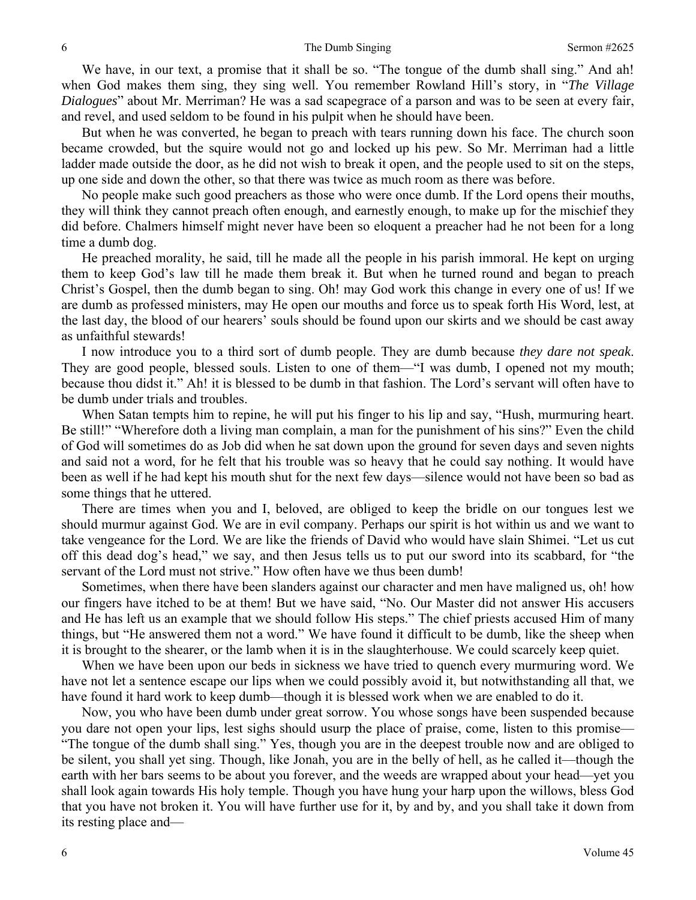We have, in our text, a promise that it shall be so. "The tongue of the dumb shall sing." And ah! when God makes them sing, they sing well. You remember Rowland Hill's story, in "*The Village Dialogues*" about Mr. Merriman? He was a sad scapegrace of a parson and was to be seen at every fair, and revel, and used seldom to be found in his pulpit when he should have been.

 But when he was converted, he began to preach with tears running down his face. The church soon became crowded, but the squire would not go and locked up his pew. So Mr. Merriman had a little ladder made outside the door, as he did not wish to break it open, and the people used to sit on the steps, up one side and down the other, so that there was twice as much room as there was before.

 No people make such good preachers as those who were once dumb. If the Lord opens their mouths, they will think they cannot preach often enough, and earnestly enough, to make up for the mischief they did before. Chalmers himself might never have been so eloquent a preacher had he not been for a long time a dumb dog.

 He preached morality, he said, till he made all the people in his parish immoral. He kept on urging them to keep God's law till he made them break it. But when he turned round and began to preach Christ's Gospel, then the dumb began to sing. Oh! may God work this change in every one of us! If we are dumb as professed ministers, may He open our mouths and force us to speak forth His Word, lest, at the last day, the blood of our hearers' souls should be found upon our skirts and we should be cast away as unfaithful stewards!

 I now introduce you to a third sort of dumb people. They are dumb because *they dare not speak*. They are good people, blessed souls. Listen to one of them—"I was dumb, I opened not my mouth; because thou didst it." Ah! it is blessed to be dumb in that fashion. The Lord's servant will often have to be dumb under trials and troubles.

 When Satan tempts him to repine, he will put his finger to his lip and say, "Hush, murmuring heart. Be still!" "Wherefore doth a living man complain, a man for the punishment of his sins?" Even the child of God will sometimes do as Job did when he sat down upon the ground for seven days and seven nights and said not a word, for he felt that his trouble was so heavy that he could say nothing. It would have been as well if he had kept his mouth shut for the next few days—silence would not have been so bad as some things that he uttered.

 There are times when you and I, beloved, are obliged to keep the bridle on our tongues lest we should murmur against God. We are in evil company. Perhaps our spirit is hot within us and we want to take vengeance for the Lord. We are like the friends of David who would have slain Shimei. "Let us cut off this dead dog's head," we say, and then Jesus tells us to put our sword into its scabbard, for "the servant of the Lord must not strive." How often have we thus been dumb!

 Sometimes, when there have been slanders against our character and men have maligned us, oh! how our fingers have itched to be at them! But we have said, "No. Our Master did not answer His accusers and He has left us an example that we should follow His steps." The chief priests accused Him of many things, but "He answered them not a word." We have found it difficult to be dumb, like the sheep when it is brought to the shearer, or the lamb when it is in the slaughterhouse. We could scarcely keep quiet.

 When we have been upon our beds in sickness we have tried to quench every murmuring word. We have not let a sentence escape our lips when we could possibly avoid it, but notwithstanding all that, we have found it hard work to keep dumb—though it is blessed work when we are enabled to do it.

 Now, you who have been dumb under great sorrow. You whose songs have been suspended because you dare not open your lips, lest sighs should usurp the place of praise, come, listen to this promise— "The tongue of the dumb shall sing." Yes, though you are in the deepest trouble now and are obliged to be silent, you shall yet sing. Though, like Jonah, you are in the belly of hell, as he called it—though the earth with her bars seems to be about you forever, and the weeds are wrapped about your head—yet you shall look again towards His holy temple. Though you have hung your harp upon the willows, bless God that you have not broken it. You will have further use for it, by and by, and you shall take it down from its resting place and—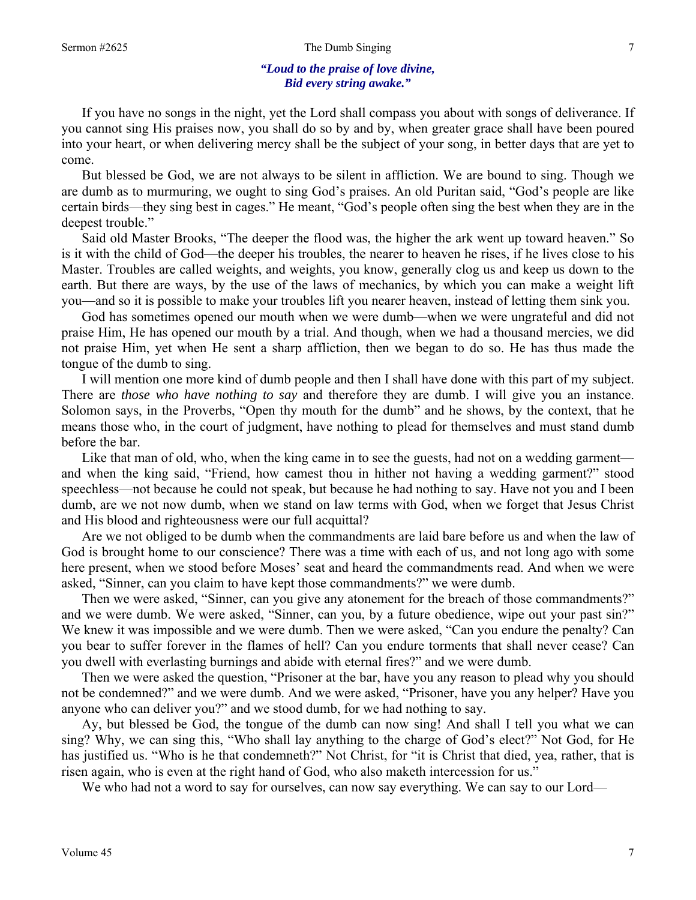### Sermon #2625 The Dumb Singing 7

## *"Loud to the praise of love divine, Bid every string awake."*

 If you have no songs in the night, yet the Lord shall compass you about with songs of deliverance. If you cannot sing His praises now, you shall do so by and by, when greater grace shall have been poured into your heart, or when delivering mercy shall be the subject of your song, in better days that are yet to come.

 But blessed be God, we are not always to be silent in affliction. We are bound to sing. Though we are dumb as to murmuring, we ought to sing God's praises. An old Puritan said, "God's people are like certain birds—they sing best in cages." He meant, "God's people often sing the best when they are in the deepest trouble."

 Said old Master Brooks, "The deeper the flood was, the higher the ark went up toward heaven." So is it with the child of God—the deeper his troubles, the nearer to heaven he rises, if he lives close to his Master. Troubles are called weights, and weights, you know, generally clog us and keep us down to the earth. But there are ways, by the use of the laws of mechanics, by which you can make a weight lift you—and so it is possible to make your troubles lift you nearer heaven, instead of letting them sink you.

 God has sometimes opened our mouth when we were dumb—when we were ungrateful and did not praise Him, He has opened our mouth by a trial. And though, when we had a thousand mercies, we did not praise Him, yet when He sent a sharp affliction, then we began to do so. He has thus made the tongue of the dumb to sing.

 I will mention one more kind of dumb people and then I shall have done with this part of my subject. There are *those who have nothing to say* and therefore they are dumb. I will give you an instance. Solomon says, in the Proverbs, "Open thy mouth for the dumb" and he shows, by the context, that he means those who, in the court of judgment, have nothing to plead for themselves and must stand dumb before the bar.

Like that man of old, who, when the king came in to see the guests, had not on a wedding garment and when the king said, "Friend, how camest thou in hither not having a wedding garment?" stood speechless—not because he could not speak, but because he had nothing to say. Have not you and I been dumb, are we not now dumb, when we stand on law terms with God, when we forget that Jesus Christ and His blood and righteousness were our full acquittal?

 Are we not obliged to be dumb when the commandments are laid bare before us and when the law of God is brought home to our conscience? There was a time with each of us, and not long ago with some here present, when we stood before Moses' seat and heard the commandments read. And when we were asked, "Sinner, can you claim to have kept those commandments?" we were dumb.

 Then we were asked, "Sinner, can you give any atonement for the breach of those commandments?" and we were dumb. We were asked, "Sinner, can you, by a future obedience, wipe out your past sin?" We knew it was impossible and we were dumb. Then we were asked, "Can you endure the penalty? Can you bear to suffer forever in the flames of hell? Can you endure torments that shall never cease? Can you dwell with everlasting burnings and abide with eternal fires?" and we were dumb.

 Then we were asked the question, "Prisoner at the bar, have you any reason to plead why you should not be condemned?" and we were dumb. And we were asked, "Prisoner, have you any helper? Have you anyone who can deliver you?" and we stood dumb, for we had nothing to say.

 Ay, but blessed be God, the tongue of the dumb can now sing! And shall I tell you what we can sing? Why, we can sing this, "Who shall lay anything to the charge of God's elect?" Not God, for He has justified us. "Who is he that condemneth?" Not Christ, for "it is Christ that died, yea, rather, that is risen again, who is even at the right hand of God, who also maketh intercession for us."

We who had not a word to say for ourselves, can now say everything. We can say to our Lord—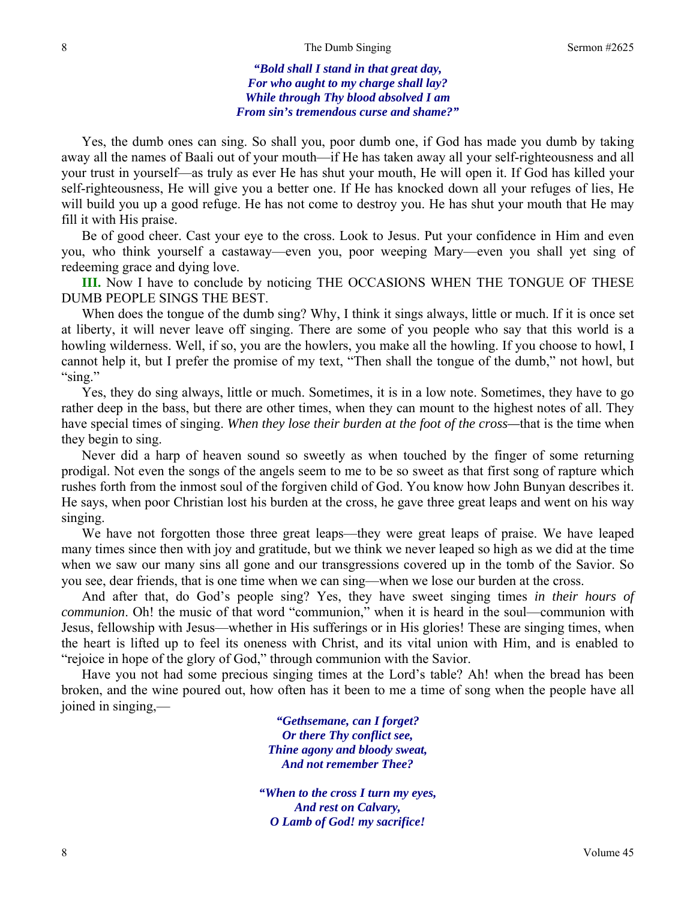*"Bold shall I stand in that great day, For who aught to my charge shall lay? While through Thy blood absolved I am From sin's tremendous curse and shame?"* 

Yes, the dumb ones can sing. So shall you, poor dumb one, if God has made you dumb by taking away all the names of Baali out of your mouth—if He has taken away all your self-righteousness and all your trust in yourself—as truly as ever He has shut your mouth, He will open it. If God has killed your self-righteousness, He will give you a better one. If He has knocked down all your refuges of lies, He will build you up a good refuge. He has not come to destroy you. He has shut your mouth that He may fill it with His praise.

 Be of good cheer. Cast your eye to the cross. Look to Jesus. Put your confidence in Him and even you, who think yourself a castaway—even you, poor weeping Mary—even you shall yet sing of redeeming grace and dying love.

**III.** Now I have to conclude by noticing THE OCCASIONS WHEN THE TONGUE OF THESE DUMB PEOPLE SINGS THE BEST.

When does the tongue of the dumb sing? Why, I think it sings always, little or much. If it is once set at liberty, it will never leave off singing. There are some of you people who say that this world is a howling wilderness. Well, if so, you are the howlers, you make all the howling. If you choose to howl, I cannot help it, but I prefer the promise of my text, "Then shall the tongue of the dumb," not howl, but "sing."

 Yes, they do sing always, little or much. Sometimes, it is in a low note. Sometimes, they have to go rather deep in the bass, but there are other times, when they can mount to the highest notes of all. They have special times of singing. *When they lose their burden at the foot of the cross—*that is the time when they begin to sing.

 Never did a harp of heaven sound so sweetly as when touched by the finger of some returning prodigal. Not even the songs of the angels seem to me to be so sweet as that first song of rapture which rushes forth from the inmost soul of the forgiven child of God. You know how John Bunyan describes it. He says, when poor Christian lost his burden at the cross, he gave three great leaps and went on his way singing.

 We have not forgotten those three great leaps—they were great leaps of praise. We have leaped many times since then with joy and gratitude, but we think we never leaped so high as we did at the time when we saw our many sins all gone and our transgressions covered up in the tomb of the Savior. So you see, dear friends, that is one time when we can sing—when we lose our burden at the cross.

 And after that, do God's people sing? Yes, they have sweet singing times *in their hours of communion*. Oh! the music of that word "communion," when it is heard in the soul—communion with Jesus, fellowship with Jesus—whether in His sufferings or in His glories! These are singing times, when the heart is lifted up to feel its oneness with Christ, and its vital union with Him, and is enabled to "rejoice in hope of the glory of God," through communion with the Savior.

 Have you not had some precious singing times at the Lord's table? Ah! when the bread has been broken, and the wine poured out, how often has it been to me a time of song when the people have all joined in singing,—

> *"Gethsemane, can I forget? Or there Thy conflict see, Thine agony and bloody sweat, And not remember Thee?*

*"When to the cross I turn my eyes, And rest on Calvary, O Lamb of God! my sacrifice!*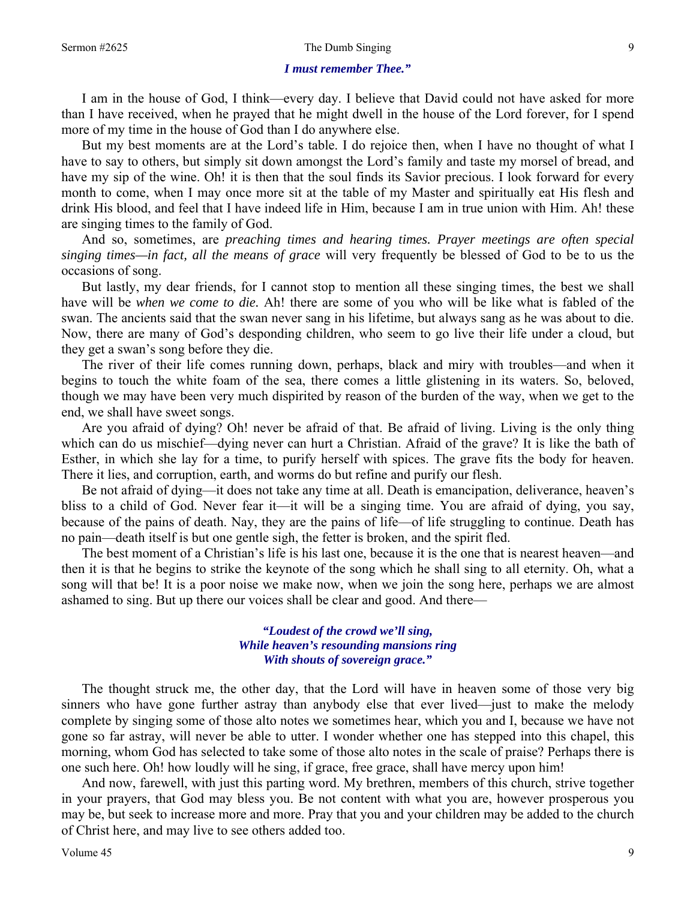#### Sermon #2625 Sermon #2625 Sermon #2625 Sermon #2625 Sermon #2625 9

#### *I must remember Thee."*

I am in the house of God, I think—every day. I believe that David could not have asked for more than I have received, when he prayed that he might dwell in the house of the Lord forever, for I spend more of my time in the house of God than I do anywhere else.

 But my best moments are at the Lord's table. I do rejoice then, when I have no thought of what I have to say to others, but simply sit down amongst the Lord's family and taste my morsel of bread, and have my sip of the wine. Oh! it is then that the soul finds its Savior precious. I look forward for every month to come, when I may once more sit at the table of my Master and spiritually eat His flesh and drink His blood, and feel that I have indeed life in Him, because I am in true union with Him. Ah! these are singing times to the family of God.

 And so, sometimes, are *preaching times and hearing times. Prayer meetings are often special singing times—in fact, all the means of grace* will very frequently be blessed of God to be to us the occasions of song.

 But lastly, my dear friends, for I cannot stop to mention all these singing times, the best we shall have will be *when we come to die.* Ah! there are some of you who will be like what is fabled of the swan. The ancients said that the swan never sang in his lifetime, but always sang as he was about to die. Now, there are many of God's desponding children, who seem to go live their life under a cloud, but they get a swan's song before they die.

 The river of their life comes running down, perhaps, black and miry with troubles—and when it begins to touch the white foam of the sea, there comes a little glistening in its waters. So, beloved, though we may have been very much dispirited by reason of the burden of the way, when we get to the end, we shall have sweet songs.

 Are you afraid of dying? Oh! never be afraid of that. Be afraid of living. Living is the only thing which can do us mischief—dying never can hurt a Christian. Afraid of the grave? It is like the bath of Esther, in which she lay for a time, to purify herself with spices. The grave fits the body for heaven. There it lies, and corruption, earth, and worms do but refine and purify our flesh.

 Be not afraid of dying—it does not take any time at all. Death is emancipation, deliverance, heaven's bliss to a child of God. Never fear it—it will be a singing time. You are afraid of dying, you say, because of the pains of death. Nay, they are the pains of life—of life struggling to continue. Death has no pain—death itself is but one gentle sigh, the fetter is broken, and the spirit fled.

 The best moment of a Christian's life is his last one, because it is the one that is nearest heaven—and then it is that he begins to strike the keynote of the song which he shall sing to all eternity. Oh, what a song will that be! It is a poor noise we make now, when we join the song here, perhaps we are almost ashamed to sing. But up there our voices shall be clear and good. And there—

> *"Loudest of the crowd we'll sing, While heaven's resounding mansions ring With shouts of sovereign grace."*

The thought struck me, the other day, that the Lord will have in heaven some of those very big sinners who have gone further astray than anybody else that ever lived—just to make the melody complete by singing some of those alto notes we sometimes hear, which you and I, because we have not gone so far astray, will never be able to utter. I wonder whether one has stepped into this chapel, this morning, whom God has selected to take some of those alto notes in the scale of praise? Perhaps there is one such here. Oh! how loudly will he sing, if grace, free grace, shall have mercy upon him!

 And now, farewell, with just this parting word. My brethren, members of this church, strive together in your prayers, that God may bless you. Be not content with what you are, however prosperous you may be, but seek to increase more and more. Pray that you and your children may be added to the church of Christ here, and may live to see others added too.